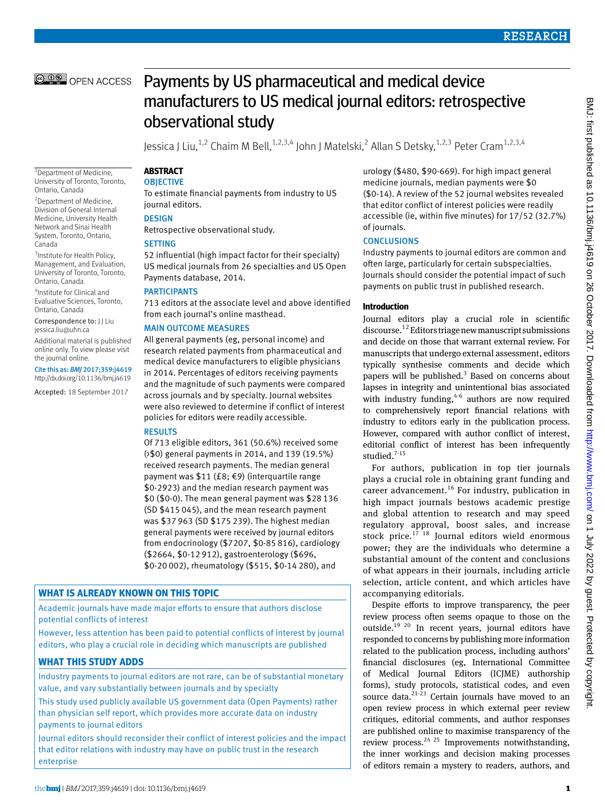

# Payments by US pharmaceutical and medical device manufacturers to US medical journal editors: retrospective observational study

Jessica J Liu,<sup>1,2</sup> Chaim M Bell,<sup>1,2,3,4</sup> John J Matelski,<sup>2</sup> Allan S Detsky,<sup>1,2,3</sup> Peter Cram<sup>1,2,3,4</sup>

<sup>1</sup>Department of Medicine, University of Toronto, Toronto, Ontario, Canada

2 Department of Medicine, Division of General Internal Medicine, University Health Network and Sinai Health System, Toronto, Ontario, Canada

<sup>3</sup>Institute for Health Policy, Management, and Evaluation, University of Toronto, Toronto, Ontario, Canada

4 Institute for Clinical and Evaluative Sciences, Toronto, Ontario, Canada

Correspondence to: J J Liu [jessica.liu@uhn.ca](mailto:jessica.liu@uhn.ca) Additional material is published online only. To view please visit the journal online.

Cite this as: *BMJ* 2017;359:j4619 http://dx.doi.org/10.1136/bmj.j4619

Accepted: 18 September 2017

# **ABSTRACT**

# **OBJECTIVE**

To estimate financial payments from industry to US journal editors.

## **DESIGN**

Retrospective observational study.

## **SETTING**

52 influential (high impact factor for their specialty) US medical journals from 26 specialties and US Open Payments database, 2014.

## PARTICIPANTS

713 editors at the associate level and above identified from each journal's online masthead.

## MAIN OUTCOME MEASURES

All general payments (eg, personal income) and research related payments from pharmaceutical and medical device manufacturers to eligible physicians in 2014. Percentages of editors receiving payments and the magnitude of such payments were compared across journals and by specialty. Journal websites were also reviewed to determine if conflict of interest policies for editors were readily accessible.

## RESULTS

Of 713 eligible editors, 361 (50.6%) received some (>\$0) general payments in 2014, and 139 (19.5%) received research payments. The median general payment was \$11 (£8; €9) (interquartile range \$0-2923) and the median research payment was \$0 (\$0-0). The mean general payment was \$28 136 (SD \$415 045), and the mean research payment was \$37 963 (SD \$175 239). The highest median general payments were received by journal editors from endocrinology (\$7207, \$0-85 816), cardiology (\$2664, \$0-12 912), gastroenterology (\$696, \$0-20 002), rheumatology (\$515, \$0-14 280), and

# **What is already known on this topic**

Academic journals have made major efforts to ensure that authors disclose potential conflicts of interest

However, less attention has been paid to potential conflicts of interest by journal editors, who play a crucial role in deciding which manuscripts are published

# **What this study adds**

Industry payments to journal editors are not rare, can be of substantial monetary value, and vary substantially between journals and by specialty

This study used publicly available US government data (Open Payments) rather than physician self report, which provides more accurate data on industry payments to journal editors

Journal editors should reconsider their conflict of interest policies and the impact that editor relations with industry may have on public trust in the research enterprise

urology (\$480, \$90-669). For high impact general medicine journals, median payments were \$0 (\$0-14). A review of the 52 journal websites revealed that editor conflict of interest policies were readily accessible (ie, within five minutes) for 17/52 (32.7%) of journals.

## **CONCLUSIONS**

Industry payments to journal editors are common and often large, particularly for certain subspecialties. Journals should consider the potential impact of such payments on public trust in published research.

## **Introduction**

Journal editors play a crucial role in scientific  $discourse.<sup>12</sup> Editorstriage new manuscript submissions$ and decide on those that warrant external review. For manuscripts that undergo external assessment, editors typically synthesise comments and decide which papers will be published.<sup>3</sup> Based on concerns about lapses in integrity and unintentional bias associated with industry funding,  $4-6$  authors are now required to comprehensively report financial relations with industry to editors early in the publication process. However, compared with author conflict of interest, editorial conflict of interest has been infrequently studied. $7-15$ 

For authors, publication in top tier journals plays a crucial role in obtaining grant funding and career advancement.<sup>16</sup> For industry, publication in high impact journals bestows academic prestige and global attention to research and may speed regulatory approval, boost sales, and increase stock price. $17^{18}$  Journal editors wield enormous power; they are the individuals who determine a substantial amount of the content and conclusions of what appears in their journals, including article selection, article content, and which articles have accompanying editorials.

Despite efforts to improve transparency, the peer review process often seems opaque to those on the outside.19 20 In recent years, journal editors have responded to concerns by publishing more information related to the publication process, including authors' financial disclosures (eg, International Committee of Medical Journal Editors (ICJME) authorship forms), study protocols, statistical codes, and even source data. $21-23$  Certain journals have moved to an open review process in which external peer review critiques, editorial comments, and author responses are published online to maximise transparency of the review process. $24$  <sup>25</sup> Improvements notwithstanding, the inner workings and decision making processes of editors remain a mystery to readers, authors, and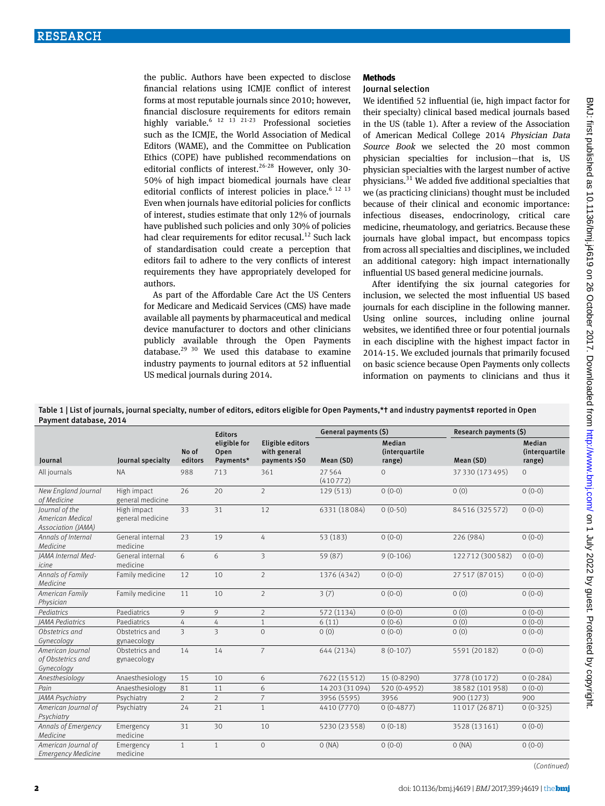the public. Authors have been expected to disclose financial relations using ICMJE conflict of interest forms at most reputable journals since 2010; however, financial disclosure requirements for editors remain highly variable.<sup>6 12 13</sup> <sup>21-23</sup> Professional societies such as the ICMJE, the World Association of Medical Editors (WAME), and the Committee on Publication Ethics (COPE) have published recommendations on editorial conflicts of interest.<sup>26-28</sup> However, only 30-50% of high impact biomedical journals have clear editorial conflicts of interest policies in place.<sup>6 12 13</sup> Even when journals have editorial policies for conflicts of interest, studies estimate that only 12% of journals have published such policies and only 30% of policies had clear requirements for editor recusal.<sup>12</sup> Such lack of standardisation could create a perception that editors fail to adhere to the very conflicts of interest requirements they have appropriately developed for authors.

As part of the Affordable Care Act the US Centers for Medicare and Medicaid Services (CMS) have made available all payments by pharmaceutical and medical device manufacturer to doctors and other clinicians publicly available through the Open Payments database. $2930$  We used this database to examine industry payments to journal editors at 52 influential US medical journals during 2014.

## **Methods**

## Journal selection

We identified 52 influential (ie, high impact factor for their specialty) clinical based medical journals based in the US (table 1). After a review of the Association of American Medical College 2014 Physician Data Source Book we selected the 20 most common physician specialties for inclusion—that is, US physician specialties with the largest number of active physicians.31 We added five additional specialties that we (as practicing clinicians) thought must be included because of their clinical and economic importance: infectious diseases, endocrinology, critical care medicine, rheumatology, and geriatrics. Because these journals have global impact, but encompass topics from across all specialties and disciplines, we included an additional category: high impact internationally influential US based general medicine journals.

After identifying the six journal categories for inclusion, we selected the most influential US based journals for each discipline in the following manner. Using online sources, including online journal websites, we identified three or four potential journals in each discipline with the highest impact factor in 2014-15. We excluded journals that primarily focused on basic science because Open Payments only collects information on payments to clinicians and thus it

Table 1 | List of journals, journal specialty, number of editors, editors eligible for Open Payments,\*† and industry payments‡ reported in Open Payment database, 2014

| rayıllelli ualabase, 2014                                | Journal specialty               | No of<br>editors | <b>Editors</b><br>eligible for<br>Open<br>Payments* | <b>Eligible editors</b><br>with general<br>payments >\$0 | General payments (\$) |                                    | Research payments (\$) |                                            |
|----------------------------------------------------------|---------------------------------|------------------|-----------------------------------------------------|----------------------------------------------------------|-----------------------|------------------------------------|------------------------|--------------------------------------------|
| Journal                                                  |                                 |                  |                                                     |                                                          | Mean (SD)             | Median<br>(interguartile<br>range) | Mean (SD)              | Median<br><i>(interguartile)</i><br>range) |
| All journals                                             | <b>NA</b>                       | 988              | 713                                                 | 361                                                      | 27564<br>(410772)     | $\Omega$                           | 37 330 (173 495)       | $\circ$                                    |
| New England Journal<br>of Medicine                       | High impact<br>general medicine | 26               | 20                                                  | $\overline{2}$                                           | 129 (513)             | $0(0-0)$                           | 0(0)                   | $0(0-0)$                                   |
| lournal of the<br>American Medical<br>Association (JAMA) | High impact<br>general medicine | 33               | 31                                                  | 12                                                       | 6331 (18084)          | $0(0-50)$                          | 84516 (325572)         | $0(0-0)$                                   |
| Annals of Internal<br>Medicine                           | General internal<br>medicine    | 23               | 19                                                  | 4                                                        | 53 (183)              | $0(0-0)$                           | 226 (984)              | $0(0-0)$                                   |
| IAMA Internal Med-<br>icine                              | General internal<br>medicine    | 6                | 6                                                   | $\overline{\mathbf{3}}$                                  | 59 (87)               | $9(0-106)$                         | 122712 (300 582)       | $0(0-0)$                                   |
| Annals of Family<br>Medicine                             | Family medicine                 | 12               | 10                                                  | $\overline{2}$                                           | 1376 (4342)           | $0(0-0)$                           | 27 517 (87 015)        | $0(0-0)$                                   |
| American Family<br>Physician                             | Family medicine                 | 11               | 10                                                  | $\overline{2}$                                           | 3(7)                  | $0(0-0)$                           | 0(0)                   | $0(0-0)$                                   |
| Pediatrics                                               | Paediatrics                     | 9                | 9                                                   | $\overline{2}$                                           | 572 (1134)            | $0(0-0)$                           | 0(0)                   | $0(0-0)$                                   |
| <b>JAMA Pediatrics</b>                                   | Paediatrics                     | 4                | $\overline{4}$                                      | $1\,$                                                    | 6(11)                 | $0(0-6)$                           | 0(0)                   | $0(0-0)$                                   |
| Obstetrics and<br>Gynecology                             | Obstetrics and<br>gynaecology   | 3                | $\overline{3}$                                      | $\overline{0}$                                           | 0(0)                  | $0(0-0)$                           | 0(0)                   | $0(0-0)$                                   |
| American Iournal<br>of Obstetrics and<br>Gynecology      | Obstetrics and<br>gynaecology   | 14               | 14                                                  | $\overline{7}$                                           | 644 (2134)            | $8(0-107)$                         | 5591 (20182)           | $0(0-0)$                                   |
| Anesthesiology                                           | Anaesthesiology                 | 15               | 10                                                  | 6                                                        | 7622 (15512)          | 15 (0-8290)                        | 3778 (10 172)          | $0(0-284)$                                 |
| Pain                                                     | Anaesthesiology                 | 81               | 11                                                  | 6                                                        | 14 203 (31 094)       | 520 (0-4952)                       | 38 582 (101 958)       | $0(0-0)$                                   |
| JAMA Psychiatry                                          | Psychiatry                      | $\overline{2}$   | $\overline{2}$                                      | $\overline{7}$                                           | 3956 (5595)           | 3956                               | 900 (1273)             | 900                                        |
| American Journal of<br>Psychiatry                        | Psychiatry                      | 24               | 21                                                  | $\mathbf{1}$                                             | 4410 (7770)           | $0(0-4877)$                        | 11017 (26871)          | $0(0-325)$                                 |
| Annals of Emergency<br>Medicine                          | Emergency<br>medicine           | 31               | 30                                                  | 10                                                       | 5230 (23558)          | $0(0-18)$                          | 3528 (13161)           | $0(0-0)$                                   |
| American Journal of<br><b>Emergency Medicine</b>         | Emergency<br>medicine           | $\mathbf{1}$     | $\mathbf{1}$                                        | $\mathbf 0$                                              | O(NA)                 | $0(0-0)$                           | O(NA)                  | $0(0-0)$                                   |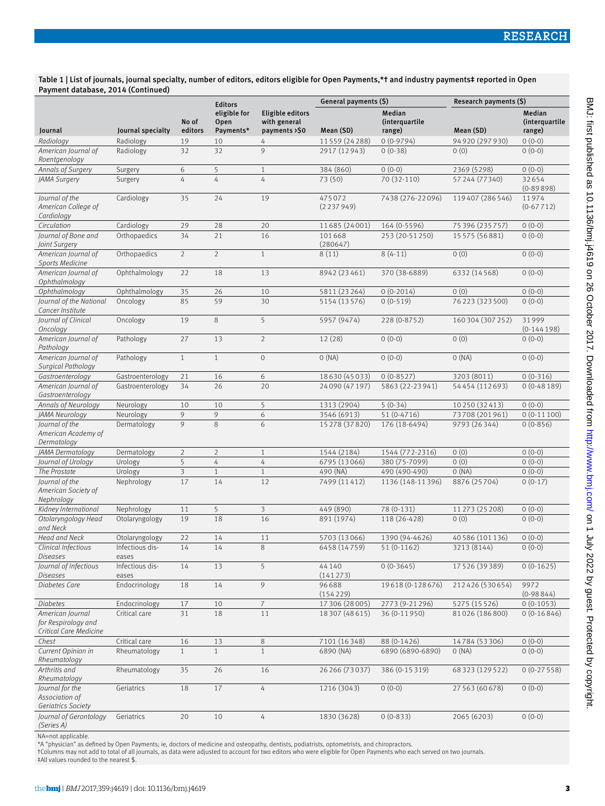## Table 1 | List of journals, journal specialty, number of editors, editors eligible for Open Payments,\*† and industry payments‡ reported in Open Payment database, 2014 (Continued)

|                                                                   |                          |                         | <b>Editors</b>                    |                                                          | General payments (\$) |                                     | Research payments (\$) |                                     |
|-------------------------------------------------------------------|--------------------------|-------------------------|-----------------------------------|----------------------------------------------------------|-----------------------|-------------------------------------|------------------------|-------------------------------------|
| Journal                                                           | Journal specialty        | No of<br>editors        | eligible for<br>Open<br>Payments* | <b>Eligible editors</b><br>with general<br>payments >\$0 | Mean (SD)             | Median<br>(interguartile)<br>range) | Mean (SD)              | Median<br>(interguartile)<br>range) |
| Radiology                                                         | Radiology                | 19                      | 10                                | 4                                                        | 11559 (24288)         | $0(0-9794)$                         | 94 920 (297 930)       | $0(0-0)$                            |
| American Journal of<br>Roentgenology                              | Radiology                | 32                      | 32                                | 9                                                        | 2917 (12943)          | $0(0-38)$                           | 0(0)                   | $0(0-0)$                            |
| Annals of Surgery                                                 | Surgery                  | 6                       | 5                                 | $\mathbf{1}$                                             | 384 (860)             | $0(0-0)$                            | 2369 (5298)            | $0(0-0)$                            |
| JAMA Surgery                                                      | Surgery                  | 4                       | $\overline{4}$                    | $\overline{4}$                                           | 73 (50)               | 70 (32-110)                         | 57 244 (77340)         | 32654<br>$(0-89898)$                |
| Journal of the<br>American College of<br>Cardiology               | Cardiology               | 35                      | 24                                | 19                                                       | 475072<br>(2237949)   | 7438 (276-22096)                    | 119407 (286 546)       | 11974<br>$(0-67712)$                |
| Circulation                                                       | Cardiology               | 29                      | 28                                | 20                                                       | 11685 (24001)         | 164 (0-5596)                        | 75 396 (235 757)       | $0(0-0)$                            |
| Journal of Bone and<br>Joint Surgery                              | Orthopaedics             | 34                      | 21                                | 16                                                       | 101668<br>(280647)    | 253 (20-51250)                      | 15 575 (56 881)        | $0(0-0)$                            |
| American Journal of<br><b>Sports Medicine</b>                     | Orthopaedics             | $\overline{2}$          | $\overline{2}$                    | $\mathbf{1}$                                             | 8(11)                 | $8(4-11)$                           | 0(0)                   | $0(0-0)$                            |
| American Journal of<br>Ophthalmology                              | Ophthalmology            | 22                      | 18                                | 13                                                       | 8942 (23461)          | 370 (38-6889)                       | 6332 (14568)           | $0(0-0)$                            |
| Ophthalmology                                                     | Ophthalmology            | 35                      | 26                                | 10                                                       | 5811 (23 264)         | $0(0-2014)$                         | 0(0)                   | $0(0-0)$                            |
| Journal of the National<br>Cancer Institute                       | Oncology                 | 85                      | 59                                | 30                                                       | 5154 (13576)          | $0(0-519)$                          | 76223 (323500)         | $0(0-0)$                            |
| Journal of Clinical<br>Oncology                                   | Oncology                 | 19                      | 8                                 | 5                                                        | 5957 (9474)           | 228 (0-8752)                        | 160 304 (307 252)      | 31999<br>$(0-144198)$               |
| American Journal of<br>Pathology                                  | Pathology                | 27                      | 13                                | $\overline{2}$                                           | 12(28)                | $0(0-0)$                            | 0(0)                   | $0(0-0)$                            |
| American Journal of<br>Surgical Pathology                         | Pathology                | $\mathbf{1}$            | $\mathbf{1}$                      | $\mathbf 0$                                              | O(NA)                 | $0(0-0)$                            | O(NA)                  | $0(0-0)$                            |
| Gastroenterology                                                  | Gastroenterology         | 21                      | 16                                | 6                                                        | 18630 (45033)         | $0(0-8527)$                         | 3203 (8011)            | $0(0-316)$                          |
| American Journal of<br>Gastroenterology                           | Gastroenterology         | 34                      | 26                                | 20                                                       | 24 090 (47 197)       | 5863 (22-23941)                     | 54454 (112693)         | $0(0-48189)$                        |
| Annals of Neurology                                               | Neurology                | 10                      | 10                                | 5                                                        | 1313 (2904)           | $5(0-34)$                           | 10 250 (32 413)        | $0(0-0)$                            |
| JAMA Neurology                                                    | Neurology                | 9                       | 9                                 | 6                                                        | 3546 (6913)           | 51 (0-4716)                         | 73708 (201961)         | $0(0-11100)$                        |
| Journal of the<br>American Academy of<br>Dermatology              | Dermatology              | 9                       | 8                                 | 6                                                        | 15 278 (37 8 20)      | 176 (18-6494)                       | 9793 (26344)           | $0(0-856)$                          |
| JAMA Dermatology                                                  | Dermatology              | $\sqrt{2}$              | $\overline{2}$                    | $\mathbf{1}$                                             | 1544 (2184)           | 1544 (772-2316)                     | 0(0)                   | $0(0-0)$                            |
| Journal of Urology                                                | Urology                  | 5                       | 4                                 | 4                                                        | 6795 (13066)          | 380 (75-7099)                       | 0(0)                   | $0(0-0)$                            |
| The Prostate                                                      | Urology                  | $\overline{\mathbf{3}}$ | $\mathbf{1}$                      | $\mathbf{1}$                                             | 490 (NA)              | 490 (490-490)                       | O(NA)                  | $0(0-0)$                            |
| Journal of the<br>American Society of<br>Nephrology               | Nephrology               | 17                      | 14                                | 12                                                       | 7499 (11412)          | 1136 (148-11396)                    | 8876 (25704)           | $0(0-17)$                           |
| Kidney International                                              | Nephrology               | 11                      | 5                                 | 3                                                        | 449 (890)             | 78 (0-131)                          | 11 273 (25 208)        | $0(0-0)$                            |
| Otolaryngology Head<br>and Neck                                   | Otolaryngology           | 19                      | 18                                | 16                                                       | 891 (1974)            | 118 (26-428)                        | 0(0)                   | $0(0-0)$                            |
| Head and Neck                                                     | Otolaryngology           | 22                      | 14                                | 11                                                       | 5703 (13066)          | 1390 (94-4626)                      | 40586 (101136)         | $0(0-0)$                            |
| Clinical Infectious<br>Diseases                                   | Infectious dis-<br>eases | 14                      | 14                                | 8                                                        | 6458 (14759)          | 51 (0-1162)                         | 3213 (8144)            | $0(0-0)$                            |
| Journal of Infectious<br>Diseases                                 | Infectious dis-<br>eases | 14                      | 13                                | 5                                                        | 44140<br>(141273)     | $0(0-3645)$                         | 17526 (39389)          | $0(0-1625)$                         |
| Diabetes Care                                                     | Endocrinology            | 18                      | 14                                | 9                                                        | 96688<br>(154229)     | 19618 (0-128676)                    | 212 426 (530 654)      | 9972<br>$(0-98844)$                 |
| <b>Diabetes</b>                                                   | Endocrinology            | 17                      | 10                                | $7^{\circ}$                                              | 17 306 (28 005)       | 2773 (9-21 296)                     | 5275 (15526)           | $0(0-1053)$                         |
| American Journal<br>for Respirology and<br>Critical Care Medicine | Critical care            | 31                      | 18                                | 11                                                       | 18 307 (48 615)       | 36 (0-11950)                        | 81026 (186800)         | $0(0-16846)$                        |
| Chest                                                             | Critical care            | 16                      | 13                                | 8                                                        | 7101 (16348)          | 88 (0-1426)                         | 14784 (53306)          | $0(0-0)$                            |
| Current Opinion in<br>Rheumatology                                | Rheumatology             | $\mathbf{1}$            | $\mathbf{1}$                      | $\mathbf{1}$                                             | 6890 (NA)             | 6890 (6890-6890)                    | O(NA)                  | $0(0-0)$                            |
| Arthritis and<br>Rheumatology                                     | Rheumatology             | 35                      | 26                                | 16                                                       | 26 266 (73 037)       | 386 (0-15 319)                      | 68 323 (129 522)       | $\overline{0}$ (0-27 558)           |
| Journal for the<br>Association of<br>Geriatrics Society           | Geriatrics               | 18                      | $17\,$                            | $\overline{4}$                                           | 1216 (3043)           | $0(0-0)$                            | 27 563 (60 678)        | $0(0-0)$                            |
| Journal of Gerontology<br>(Series A)                              | Geriatrics               | 20                      | 10                                | $\overline{4}$                                           | 1830 (3628)           | $0(0-833)$                          | 2065 (6203)            | $0(0-0)$                            |
|                                                                   |                          |                         |                                   |                                                          |                       |                                     |                        |                                     |

NA=not applicable. \*A "physician" as defined by Open Payments; ie, doctors of medicine and osteopathy, dentists, podiatrists, optometrists, and chiropractors.

†Columns may not add to total of all journals, as data were adjusted to account for two editors who were eligible for Open Payments who each served on two journals. ‡All values rounded to the nearest \$.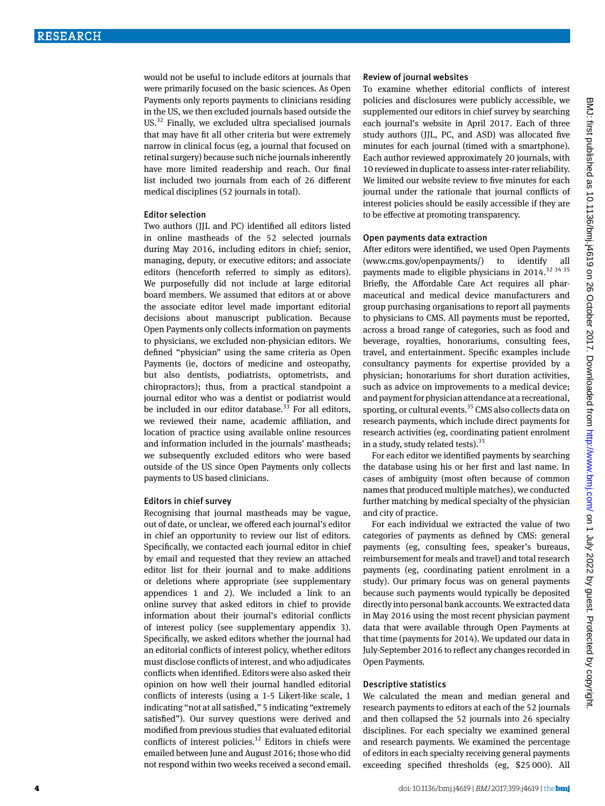would not be useful to include editors at journals that were primarily focused on the basic sciences. As Open Payments only reports payments to clinicians residing in the US, we then excluded journals based outside the US.<sup>32</sup> Finally, we excluded ultra specialised journals that may have fit all other criteria but were extremely narrow in clinical focus (eg, a journal that focused on retinal surgery) because such niche journals inherently have more limited readership and reach. Our final list included two journals from each of 26 different medical disciplines (52 journals in total).

#### Editor selection

Two authors (IIL and PC) identified all editors listed in online mastheads of the 52 selected journals during May 2016, including editors in chief; senior, managing, deputy, or executive editors; and associate editors (henceforth referred to simply as editors). We purposefully did not include at large editorial board members. We assumed that editors at or above the associate editor level made important editorial decisions about manuscript publication. Because Open Payments only collects information on payments to physicians, we excluded non-physician editors. We defined "physician" using the same criteria as Open Payments (ie, doctors of medicine and osteopathy, but also dentists, podiatrists, optometrists, and chiropractors); thus, from a practical standpoint a journal editor who was a dentist or podiatrist would be included in our editor database.<sup>33</sup> For all editors, we reviewed their name, academic affiliation, and location of practice using available online resources and information included in the journals' mastheads; we subsequently excluded editors who were based outside of the US since Open Payments only collects payments to US based clinicians.

#### Editors in chief survey

Recognising that journal mastheads may be vague, out of date, or unclear, we offered each journal's editor in chief an opportunity to review our list of editors. Specifically, we contacted each journal editor in chief by email and requested that they review an attached editor list for their journal and to make additions or deletions where appropriate (see supplementary appendices 1 and 2). We included a link to an online survey that asked editors in chief to provide information about their journal's editorial conflicts of interest policy (see supplementary appendix 3). Specifically, we asked editors whether the journal had an editorial conflicts of interest policy, whether editors must disclose conflicts of interest, and who adjudicates conflicts when identified. Editors were also asked their opinion on how well their journal handled editorial conflicts of interests (using a 1-5 Likert-like scale, 1 indicating "not at all satisfied," 5 indicating "extremely satisfied"). Our survey questions were derived and modified from previous studies that evaluated editorial conflicts of interest policies.12 Editors in chiefs were emailed between June and August 2016; those who did not respond within two weeks received a second email.

## Review of journal websites

To examine whether editorial conflicts of interest policies and disclosures were publicly accessible, we supplemented our editors in chief survey by searching each journal's website in April 2017. Each of three study authors (JJL, PC, and ASD) was allocated five minutes for each journal (timed with a smartphone). Each author reviewed approximately 20 journals, with 10 reviewed in duplicate to assess inter-rater reliability. We limited our website review to five minutes for each journal under the rationale that journal conflicts of interest policies should be easily accessible if they are to be effective at promoting transparency.

#### Open payments data extraction

After editors were identified, we used Open Payments [\(www.cms.gov/openpayments/\)](http://www.cms.gov/openpayments/) to identify all payments made to eligible physicians in 2014.<sup>32 34 35</sup> Briefly, the Affordable Care Act requires all pharmaceutical and medical device manufacturers and group purchasing organisations to report all payments to physicians to CMS. All payments must be reported, across a broad range of categories, such as food and beverage, royalties, honorariums, consulting fees, travel, and entertainment. Specific examples include consultancy payments for expertise provided by a physician; honorariums for short duration activities, such as advice on improvements to a medical device; and payment for physician attendance at a recreational, sporting, or cultural events.<sup>35</sup> CMS also collects data on research payments, which include direct payments for research activities (eg, coordinating patient enrolment in a study, study related tests).  $35$ 

For each editor we identified payments by searching the database using his or her first and last name. In cases of ambiguity (most often because of common names that produced multiple matches), we conducted further matching by medical specialty of the physician and city of practice.

For each individual we extracted the value of two categories of payments as defined by CMS: general payments (eg, consulting fees, speaker's bureaus, reimbursement for meals and travel) and total research payments (eg, coordinating patient enrolment in a study). Our primary focus was on general payments because such payments would typically be deposited directly into personal bank accounts. We extracted data in May 2016 using the most recent physician payment data that were available through Open Payments at that time (payments for 2014). We updated our data in July-September 2016 to reflect any changes recorded in Open Payments.

### Descriptive statistics

We calculated the mean and median general and research payments to editors at each of the 52 journals and then collapsed the 52 journals into 26 specialty disciplines. For each specialty we examined general and research payments. We examined the percentage of editors in each specialty receiving general payments exceeding specified thresholds (eg, \$25 000). All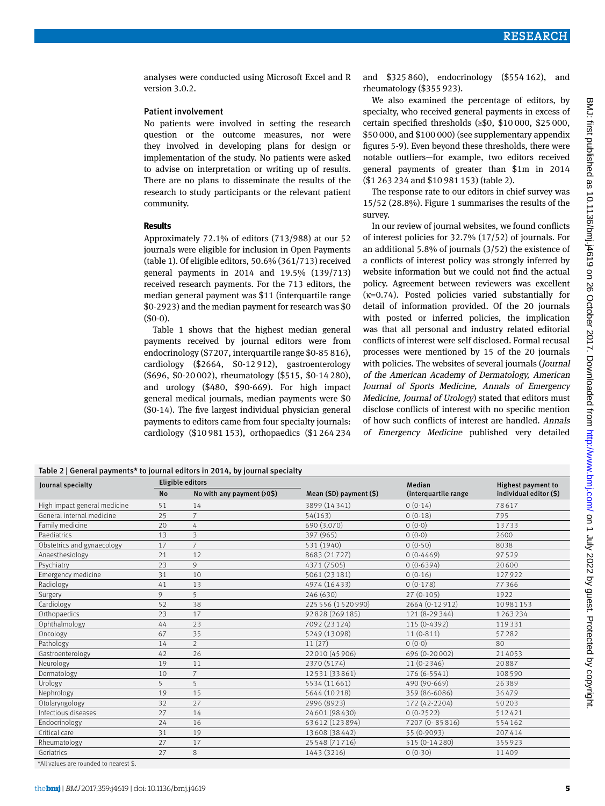analyses were conducted using Microsoft Excel and R version 3.0.2.

#### Patient involvement

No patients were involved in setting the research question or the outcome measures, nor were they involved in developing plans for design or implementation of the study. No patients were asked to advise on interpretation or writing up of results. There are no plans to disseminate the results of the research to study participants or the relevant patient community.

#### **Results**

 $T_{\rm eff}$  and  $\sigma_{\rm eff}$  in 2014, by journal editors in 2014, by journal specialty in 2014, by journal specialty in 2014, by journal specialty in 2014, by journal specialty in 2014, by journal specialty in 2014, by journal

Approximately 72.1% of editors (713/988) at our 52 journals were eligible for inclusion in Open Payments (table 1). Of eligible editors, 50.6% (361/713) received general payments in 2014 and 19.5% (139/713) received research payments. For the 713 editors, the median general payment was \$11 (interquartile range \$0-2923) and the median payment for research was \$0 (\$0-0).

Table 1 shows that the highest median general payments received by journal editors were from endocrinology (\$7207, interquartile range \$0-85 816), cardiology (\$2664, \$0-12 912), gastroenterology (\$696, \$0-20 002), rheumatology (\$515, \$0-14 280), and urology (\$480, \$90-669). For high impact general medical journals, median payments were \$0 (\$0-14). The five largest individual physician general payments to editors came from four specialty journals: cardiology (\$10 981 153), orthopaedics (\$1 264 234 and \$325 860), endocrinology (\$554 162), and rheumatology (\$355 923).

We also examined the percentage of editors, by specialty, who received general payments in excess of certain specified thresholds  $(≥$ \$0, \$10 000, \$25 000, \$50 000, and \$100 000) (see supplementary appendix figures 5-9). Even beyond these thresholds, there were notable outliers—for example, two editors received general payments of greater than \$1m in 2014 (\$1 263 234 and \$10 981 153) (table 2).

The response rate to our editors in chief survey was 15/52 (28.8%). Figure 1 summarises the results of the survey.

In our review of journal websites, we found conflicts of interest policies for 32.7% (17/52) of journals. For an additional 5.8% of journals (3/52) the existence of a conflicts of interest policy was strongly inferred by website information but we could not find the actual policy. Agreement between reviewers was excellent  $(\kappa=0.74)$ . Posted policies varied substantially for detail of information provided. Of the 20 journals with posted or inferred policies, the implication was that all personal and industry related editorial conflicts of interest were self disclosed. Formal recusal processes were mentioned by 15 of the 20 journals with policies. The websites of several journals (Journal of the American Academy of Dermatology, American Journal of Sports Medicine, Annals of Emergency Medicine, Journal of Urology) stated that editors must disclose conflicts of interest with no specific mention of how such conflicts of interest are handled. Annals of Emergency Medicine published very detailed

| Table 2   General payments^ to journal editors in 2014, by journal specialty |                             |                           |                       |                           |  |  |  |  |  |
|------------------------------------------------------------------------------|-----------------------------|---------------------------|-----------------------|---------------------------|--|--|--|--|--|
|                                                                              |                             |                           | Median                | <b>Highest payment to</b> |  |  |  |  |  |
| <b>No</b>                                                                    | No with any payment $(505)$ | Mean $(SD)$ payment $(S)$ | (interguartile range) | individual editor (\$)    |  |  |  |  |  |
| 51                                                                           | 14                          | 3899 (14341)              | $0(0-14)$             | 78617                     |  |  |  |  |  |
| 25                                                                           | $\overline{7}$              | 54(163)                   | $0(0-18)$             | 795                       |  |  |  |  |  |
| 20                                                                           | 4                           | 690 (3,070)               | $0(0-0)$              | 13733                     |  |  |  |  |  |
| 13                                                                           | 3                           | 397 (965)                 | $0(0-0)$              | 2600                      |  |  |  |  |  |
| 17                                                                           | $\overline{7}$              | 531 (1940)                | $0(0-50)$             | 8038                      |  |  |  |  |  |
| 21                                                                           | 12                          | 8683 (21727)              | $0(0-4469)$           | 97529                     |  |  |  |  |  |
| 23                                                                           | 9                           | 4371 (7505)               | $0(0-6394)$           | 20600                     |  |  |  |  |  |
| 31                                                                           | 10                          | 5061 (23 181)             | $0(0-16)$             | 127922                    |  |  |  |  |  |
| 41                                                                           | 13                          | 4974 (16433)              | $0(0-178)$            | 77366                     |  |  |  |  |  |
| 9                                                                            | 5                           | 246 (630)                 | $27(0-105)$           | 1922                      |  |  |  |  |  |
| 52                                                                           | 38                          | 225 556 (1520 990)        | 2664 (0-12912)        | 10981153                  |  |  |  |  |  |
| 23                                                                           | 17                          | 92828 (269 185)           | 121 (8-29 344)        | 1263234                   |  |  |  |  |  |
| 44                                                                           | 23                          | 7092 (23 124)             | 115 (0-4392)          | 119331                    |  |  |  |  |  |
| 67                                                                           | 35                          | 5249 (13098)              | $11(0-811)$           | 57282                     |  |  |  |  |  |
| 14                                                                           | $\overline{2}$              | 11(27)                    | $0(0-0)$              | 80                        |  |  |  |  |  |
| 42                                                                           | 26                          | 22010 (45 906)            | 696 (0-20002)         | 214053                    |  |  |  |  |  |
| 19                                                                           | 11                          | 2370 (5174)               | 11 (0-2346)           | 20887                     |  |  |  |  |  |
| 10                                                                           | $\overline{7}$              | 12531 (33861)             | 176 (6-5541)          | 108590                    |  |  |  |  |  |
| 5                                                                            | 5                           | 5534 (11661)              | 490 (90-669)          | 26389                     |  |  |  |  |  |
| 19                                                                           | 15                          | 5644 (10218)              | 359 (86-6086)         | 36479                     |  |  |  |  |  |
| 32                                                                           | 27                          | 2996 (8923)               | 172 (42-2204)         | 50203                     |  |  |  |  |  |
| 27                                                                           | 14                          | 24 601 (98 430)           | $0(0-2522)$           | 512421                    |  |  |  |  |  |
| 24                                                                           | 16                          | 63612 (123894)            | 7207 (0-85816)        | 554162                    |  |  |  |  |  |
| 31                                                                           | 19                          | 13608 (38442)             | 55 (0-9093)           | 207414                    |  |  |  |  |  |
| 27                                                                           | 17                          | 25 548 (71 7 16)          | 515 (0-14 280)        | 355923                    |  |  |  |  |  |
| 27                                                                           | 8                           | 1443 (3216)               | $0(0-30)$             | 11409                     |  |  |  |  |  |
|                                                                              |                             | <b>Eligible editors</b>   |                       |                           |  |  |  |  |  |

\*All values are rounded to nearest \$.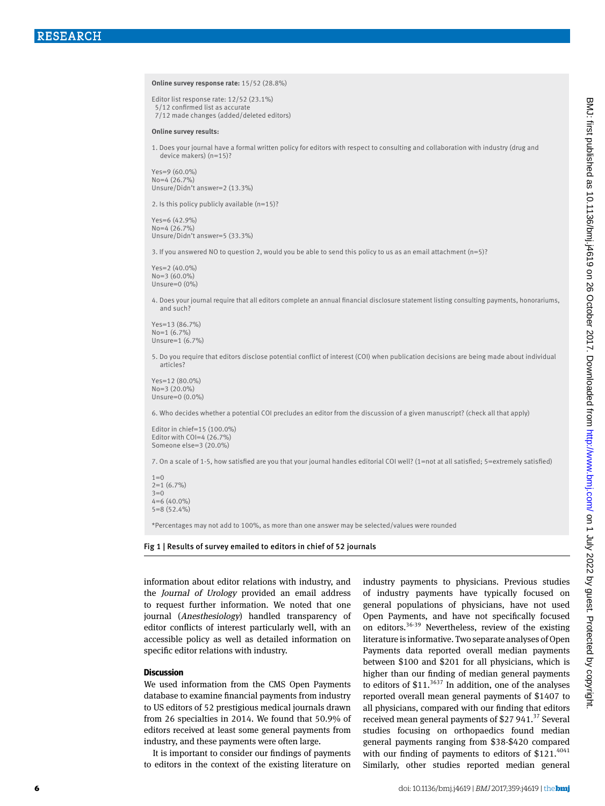#### **Online survey response rate:** 15/52 (28.8%)

Editor list response rate: 12/52 (23.1%) 5/12 confirmed list as accurate 7/12 made changes (added/deleted editors)

#### **Online survey results:**

1. Does your journal have a formal written policy for editors with respect to consulting and collaboration with industry (drug and device makers) (n=15)?

Yes=9 (60.0%) No=4 (26.7%) Unsure/Didn't answer=2 (13.3%)

2. Is this policy publicly available (n=15)?

Yes=6 (42.9%) No=4 (26.7%) Unsure/Didn't answer=5 (33.3%)

3. If you answered NO to question 2, would you be able to send this policy to us as an email attachment (n=5)?

Yes=2 (40.0%) No=3 (60.0%) Unsure=0 (0%)

4. Does your journal require that all editors complete an annual financial disclosure statement listing consulting payments, honorariums, and such?

Yes=13 (86.7%) No=1 (6.7%) Unsure=1 (6.7%)

5. Do you require that editors disclose potential conflict of interest (COI) when publication decisions are being made about individual articles?

Yes=12 (80.0%) No=3 (20.0%) Unsure=0 (0.0%)

6. Who decides whether a potential COI precludes an editor from the discussion of a given manuscript? (check all that apply)

Editor in chief=15 (100.0%) Editor with COI=4 (26.7%) Someone else=3 (20.0%)

7. On a scale of 1-5, how satisfied are you that your journal handles editorial COI well? (1=not at all satisfied; 5=extremely satisfied)

 $1=0$ 2=1 (6.7%)  $3=0$  $4=6(40.0\%)$ 5=8 (52.4%)

\*Percentages may not add to 100%, as more than one answer may be selected/values were rounded

Fig 1 | Results of survey emailed to editors in chief of 52 journals

information about editor relations with industry, and the Journal of Urology provided an email address to request further information. We noted that one journal (Anesthesiology) handled transparency of editor conflicts of interest particularly well, with an accessible policy as well as detailed information on specific editor relations with industry.

#### **Discussion**

We used information from the CMS Open Payments database to examine financial payments from industry to US editors of 52 prestigious medical journals drawn from 26 specialties in 2014. We found that 50.9% of editors received at least some general payments from industry, and these payments were often large.

It is important to consider our findings of payments to editors in the context of the existing literature on

industry payments to physicians. Previous studies of industry payments have typically focused on general populations of physicians, have not used Open Payments, and have not specifically focused on editors.  $36-39$  Nevertheless, review of the existing literature is informative. Two separate analyses of Open Payments data reported overall median payments between \$100 and \$201 for all physicians, which is higher than our finding of median general payments to editors of  $$11.<sup>3637</sup>$  In addition, one of the analyses reported overall mean general payments of \$1407 to all physicians, compared with our finding that editors received mean general payments of \$27 941. $37$  Several studies focusing on orthopaedics found median general payments ranging from \$38-\$420 compared with our finding of payments to editors of  $$121.<sup>4041</sup>$ Similarly, other studies reported median general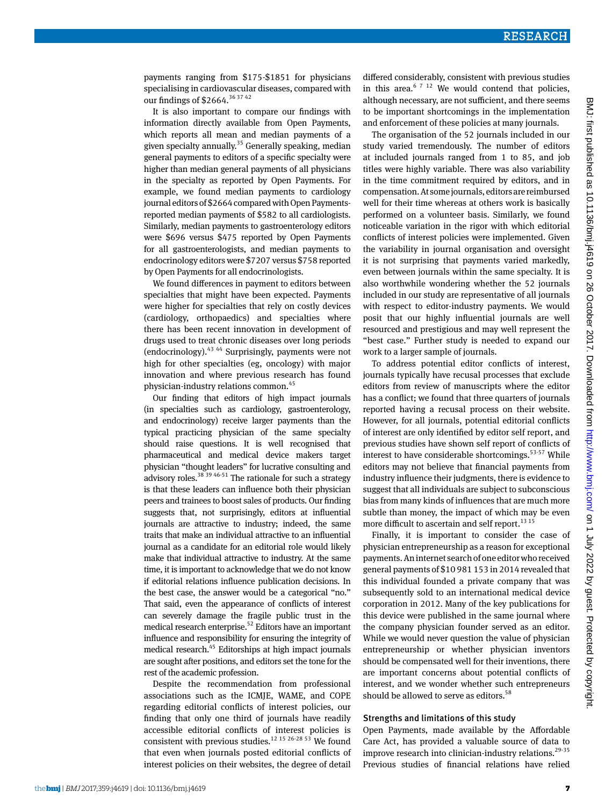payments ranging from \$175-\$1851 for physicians specialising in cardiovascular diseases, compared with our findings of \$2664.<sup>36 37 42</sup>

It is also important to compare our findings with information directly available from Open Payments, which reports all mean and median payments of a given specialty annually.<sup>35</sup> Generally speaking, median general payments to editors of a specific specialty were higher than median general payments of all physicians in the specialty as reported by Open Payments. For example, we found median payments to cardiology journal editors of \$2664 compared with Open Paymentsreported median payments of \$582 to all cardiologists. Similarly, median payments to gastroenterology editors were \$696 versus \$475 reported by Open Payments for all gastroenterologists, and median payments to endocrinology editors were \$7207 versus \$758 reported by Open Payments for all endocrinologists.

We found differences in payment to editors between specialties that might have been expected. Payments were higher for specialties that rely on costly devices (cardiology, orthopaedics) and specialties where there has been recent innovation in development of drugs used to treat chronic diseases over long periods (endocrinology).43 44 Surprisingly, payments were not high for other specialties (eg, oncology) with major innovation and where previous research has found physician-industry relations common.45

Our finding that editors of high impact journals (in specialties such as cardiology, gastroenterology, and endocrinology) receive larger payments than the typical practicing physician of the same specialty should raise questions. It is well recognised that pharmaceutical and medical device makers target physician "thought leaders" for lucrative consulting and advisory roles.<sup>38 39 46-51</sup> The rationale for such a strategy is that these leaders can influence both their physician peers and trainees to boost sales of products. Our finding suggests that, not surprisingly, editors at influential journals are attractive to industry; indeed, the same traits that make an individual attractive to an influential journal as a candidate for an editorial role would likely make that individual attractive to industry. At the same time, it is important to acknowledge that we do not know if editorial relations influence publication decisions. In the best case, the answer would be a categorical "no." That said, even the appearance of conflicts of interest can severely damage the fragile public trust in the medical research enterprise.<sup>52</sup> Editors have an important influence and responsibility for ensuring the integrity of medical research.<sup>45</sup> Editorships at high impact journals are sought after positions, and editors set the tone for the rest of the academic profession.

Despite the recommendation from professional associations such as the ICMJE, WAME, and COPE regarding editorial conflicts of interest policies, our finding that only one third of journals have readily accessible editorial conflicts of interest policies is consistent with previous studies.<sup>12 15 26-28 53</sup> We found that even when journals posted editorial conflicts of interest policies on their websites, the degree of detail

differed considerably, consistent with previous studies in this area. $6712$  We would contend that policies, although necessary, are not sufficient, and there seems to be important shortcomings in the implementation and enforcement of these policies at many journals.

The organisation of the 52 journals included in our study varied tremendously. The number of editors at included journals ranged from 1 to 85, and job titles were highly variable. There was also variability in the time commitment required by editors, and in compensation. At some journals, editors are reimbursed well for their time whereas at others work is basically performed on a volunteer basis. Similarly, we found noticeable variation in the rigor with which editorial conflicts of interest policies were implemented. Given the variability in journal organisation and oversight it is not surprising that payments varied markedly, even between journals within the same specialty. It is also worthwhile wondering whether the 52 journals included in our study are representative of all journals with respect to editor-industry payments. We would posit that our highly influential journals are well resourced and prestigious and may well represent the "best case." Further study is needed to expand our work to a larger sample of journals.

To address potential editor conflicts of interest, journals typically have recusal processes that exclude editors from review of manuscripts where the editor has a conflict; we found that three quarters of journals reported having a recusal process on their website. However, for all journals, potential editorial conflicts of interest are only identified by editor self report, and previous studies have shown self report of conflicts of interest to have considerable shortcomings. $53-57$  While editors may not believe that financial payments from industry influence their judgments, there is evidence to suggest that all individuals are subject to subconscious bias from many kinds of influences that are much more subtle than money, the impact of which may be even more difficult to ascertain and self report.<sup>13 15</sup>

Finally, it is important to consider the case of physician entrepreneurship as a reason for exceptional payments. An internet search of one editor who received general payments of \$10 981 153 in 2014 revealed that this individual founded a private company that was subsequently sold to an international medical device corporation in 2012. Many of the key publications for this device were published in the same journal where the company physician founder served as an editor. While we would never question the value of physician entrepreneurship or whether physician inventors should be compensated well for their inventions, there are important concerns about potential conflicts of interest, and we wonder whether such entrepreneurs should be allowed to serve as editors.<sup>58</sup>

## Strengths and limitations of this study

Open Payments, made available by the Affordable Care Act, has provided a valuable source of data to improve research into clinician-industry relations.<sup>29-35</sup> Previous studies of financial relations have relied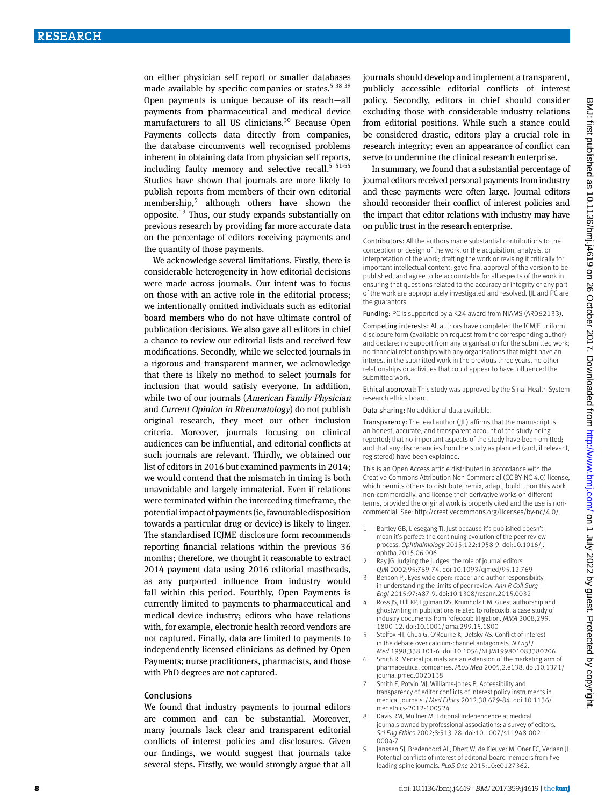on either physician self report or smaller databases made available by specific companies or states.<sup>5 38 39</sup> Open payments is unique because of its reach—all payments from pharmaceutical and medical device manufacturers to all US clinicians.<sup>30</sup> Because Open Payments collects data directly from companies, the database circumvents well recognised problems inherent in obtaining data from physician self reports, including faulty memory and selective recall.<sup>5 51-55</sup> Studies have shown that journals are more likely to publish reports from members of their own editorial membership,<sup>9</sup> although others have shown the opposite.<sup>13</sup> Thus, our study expands substantially on previous research by providing far more accurate data on the percentage of editors receiving payments and the quantity of those payments.

We acknowledge several limitations. Firstly, there is considerable heterogeneity in how editorial decisions were made across journals. Our intent was to focus on those with an active role in the editorial process; we intentionally omitted individuals such as editorial board members who do not have ultimate control of publication decisions. We also gave all editors in chief a chance to review our editorial lists and received few modifications. Secondly, while we selected journals in a rigorous and transparent manner, we acknowledge that there is likely no method to select journals for inclusion that would satisfy everyone. In addition, while two of our journals (American Family Physician and Current Opinion in Rheumatology) do not publish original research, they meet our other inclusion criteria. Moreover, journals focusing on clinical audiences can be influential, and editorial conflicts at such journals are relevant. Thirdly, we obtained our list of editors in 2016 but examined payments in 2014; we would contend that the mismatch in timing is both unavoidable and largely immaterial. Even if relations were terminated within the interceding timeframe, the potential impact of payments (ie, favourable disposition towards a particular drug or device) is likely to linger. The standardised ICJME disclosure form recommends reporting financial relations within the previous 36 months; therefore, we thought it reasonable to extract 2014 payment data using 2016 editorial mastheads, as any purported influence from industry would fall within this period. Fourthly, Open Payments is currently limited to payments to pharmaceutical and medical device industry; editors who have relations with, for example, electronic health record vendors are not captured. Finally, data are limited to payments to independently licensed clinicians as defined by Open Payments; nurse practitioners, pharmacists, and those with PhD degrees are not captured.

#### Conclusions

We found that industry payments to journal editors are common and can be substantial. Moreover, many journals lack clear and transparent editorial conflicts of interest policies and disclosures. Given our findings, we would suggest that journals take several steps. Firstly, we would strongly argue that all journals should develop and implement a transparent, publicly accessible editorial conflicts of interest policy. Secondly, editors in chief should consider excluding those with considerable industry relations from editorial positions. While such a stance could be considered drastic, editors play a crucial role in research integrity; even an appearance of conflict can serve to undermine the clinical research enterprise.

In summary, we found that a substantial percentage of journal editors received personal payments from industry and these payments were often large. Journal editors should reconsider their conflict of interest policies and the impact that editor relations with industry may have on public trust in the research enterprise.

Contributors: All the authors made substantial contributions to the conception or design of the work, or the acquisition, analysis, or interpretation of the work; drafting the work or revising it critically for important intellectual content; gave final approval of the version to be published; and agree to be accountable for all aspects of the work in ensuring that questions related to the accuracy or integrity of any part of the work are appropriately investigated and resolved. JJL and PC are the guarantors.

Funding: PC is supported by a K24 award from NIAMS (AR062133).

Competing interests: All authors have completed the ICMJE uniform disclosure form (available on request from the corresponding author) and declare: no support from any organisation for the submitted work; no financial relationships with any organisations that might have an interest in the submitted work in the previous three years, no other relationships or activities that could appear to have influenced the submitted work.

Ethical approval: This study was approved by the Sinai Health System research ethics board.

Data sharing: No additional data available.

Transparency: The lead author (JJL) affirms that the manuscript is an honest, accurate, and transparent account of the study being reported; that no important aspects of the study have been omitted; and that any discrepancies from the study as planned (and, if relevant, registered) have been explained.

This is an Open Access article distributed in accordance with the Creative Commons Attribution Non Commercial (CC BY-NC 4.0) license, which permits others to distribute, remix, adapt, build upon this work non-commercially, and license their derivative works on different terms, provided the original work is properly cited and the use is noncommercial. See: http://creativecommons.org/licenses/by-nc/4.0/.

- 1 Bartley GB, Liesegang TJ. Just because it's published doesn't mean it's perfect: the continuing evolution of the peer review process. *Ophthalmology* 2015;122:1958-9. doi:10.1016/j. ophtha.2015.06.006
- Ray JG. Judging the judges: the role of journal editors. *QJM* 2002;95:769-74. doi:10.1093/qjmed/95.12.769
- Benson PJ. Eyes wide open: reader and author responsibility in understanding the limits of peer review. *Ann R Coll Surg Engl* 2015;97:487-9. doi:10.1308/rcsann.2015.0032
- 4 Ross JS, Hill KP, Egilman DS, Krumholz HM. Guest authorship and ghostwriting in publications related to rofecoxib: a case study of industry documents from rofecoxib litigation. *JAMA* 2008;299: 1800-12. doi:10.1001/jama.299.15.1800
- 5 Stelfox HT, Chua G, O'Rourke K, Detsky AS. Conflict of interest in the debate over calcium-channel antagonists. *N Engl J Med* 1998;338:101-6. doi:10.1056/NEJM199801083380206
- 6 Smith R. Medical journals are an extension of the marketing arm of pharmaceutical companies. *PLoS Med* 2005;2:e138. doi:10.1371/ journal.pmed.0020138
- 7 Smith E, Potvin MJ, Williams-Jones B. Accessibility and transparency of editor conflicts of interest policy instruments in medical journals. *J Med Ethics* 2012;38:679-84. doi:10.1136/ medethics-2012-100524
- Davis RM, Müllner M. Editorial independence at medical journals owned by professional associations: a survey of editors. *Sci Eng Ethics* 2002;8:513-28. doi:10.1007/s11948-002- 0004-7
- 9 Janssen SJ, Bredenoord AL, Dhert W, de Kleuver M, Oner FC, Verlaan JJ. Potential conflicts of interest of editorial board members from five leading spine journals. *PLoS One* 2015;10:e0127362.